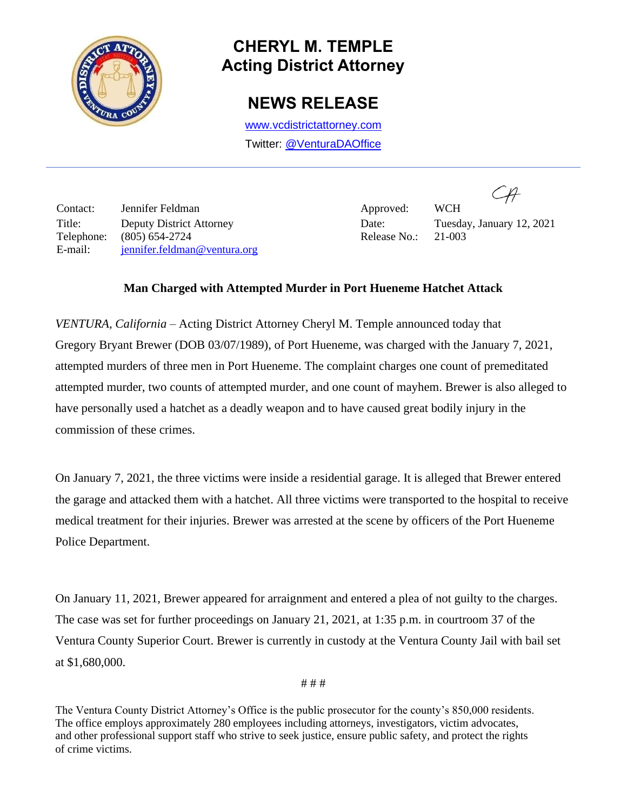

## **CHERYL M. TEMPLE Acting District Attorney**

## **NEWS RELEASE**

[www.vcdistrictattorney.com](http://www.vcdistrictattorney.com/) Twitter: [@VenturaDAOffice](https://twitter.com/venturadaoffice)

Contact: Jennifer Feldman Approved: WCH Title: Deputy District Attorney Date: Tuesday, January 12, 2021 Telephone: (805) 654-2724 Release No.: 21-003 E-mail: jennifer.feldman@ventura.org

 $C\mathcal{H}$ 

## **Man Charged with Attempted Murder in Port Hueneme Hatchet Attack**

*VENTURA, California* – Acting District Attorney Cheryl M. Temple announced today that Gregory Bryant Brewer (DOB 03/07/1989), of Port Hueneme, was charged with the January 7, 2021, attempted murders of three men in Port Hueneme. The complaint charges one count of premeditated attempted murder, two counts of attempted murder, and one count of mayhem. Brewer is also alleged to have personally used a hatchet as a deadly weapon and to have caused great bodily injury in the commission of these crimes.

On January 7, 2021, the three victims were inside a residential garage. It is alleged that Brewer entered the garage and attacked them with a hatchet. All three victims were transported to the hospital to receive medical treatment for their injuries. Brewer was arrested at the scene by officers of the Port Hueneme Police Department.

On January 11, 2021, Brewer appeared for arraignment and entered a plea of not guilty to the charges. The case was set for further proceedings on January 21, 2021, at 1:35 p.m. in courtroom 37 of the Ventura County Superior Court. Brewer is currently in custody at the Ventura County Jail with bail set at \$1,680,000.

# # #

The Ventura County District Attorney's Office is the public prosecutor for the county's 850,000 residents. The office employs approximately 280 employees including attorneys, investigators, victim advocates, and other professional support staff who strive to seek justice, ensure public safety, and protect the rights of crime victims.